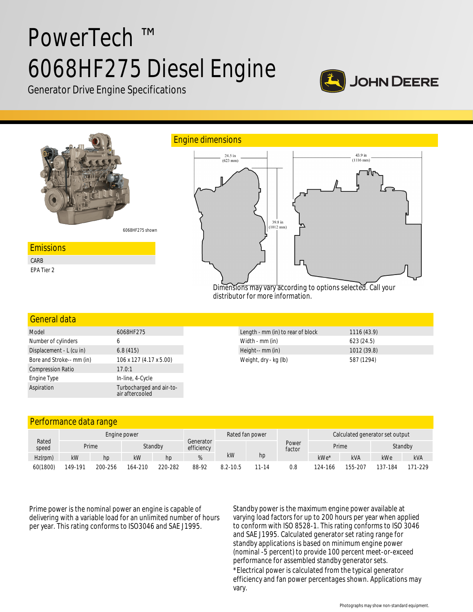# PowerTech ™ 6068HF275 Diesel Engine



Generator Drive Engine Specifications



## General data

| Model                     | 6068HF275                                   |  |  |  |  |
|---------------------------|---------------------------------------------|--|--|--|--|
| Number of cylinders       | 6                                           |  |  |  |  |
| Displacement - L (cu in)  | 6.8(415)                                    |  |  |  |  |
| Bore and Stroke-- mm (in) | 106 x 127 (4.17 x 5.00)                     |  |  |  |  |
| <b>Compression Ratio</b>  | 17.0:1                                      |  |  |  |  |
| Engine Type               | In-line, 4-Cycle                            |  |  |  |  |
| Aspiration                | Turbocharged and air-to-<br>air aftercooled |  |  |  |  |

| Length - mm (in) to rear of block | 1116(43.9)  |
|-----------------------------------|-------------|
| Width - mm (in)                   | 623(24.5)   |
| Height-- mm (in)                  | 1012 (39.8) |
| Weight, dry - kg (lb)             | 587 (1294)  |

# Performance data range

| Rated<br>speed | Engine power |         |         |         |                         | Rated fan power |          | Calculated generator set output |         |         |         |            |
|----------------|--------------|---------|---------|---------|-------------------------|-----------------|----------|---------------------------------|---------|---------|---------|------------|
|                | Prime        |         |         | Standby | Generator<br>efficiency |                 |          | Power<br>factor                 | Prime   |         | Standby |            |
| $Hz$ (rpm)     | kW           | hp      | kW      | hp      |                         | kW              | hp       |                                 | kWe*    | kVA     | kWe     | <b>kVA</b> |
| 60(1800)       | 149-191      | 200-256 | 164-210 | 220-282 | 88-92                   | $8.2 - 10.5$    | $1 - 14$ | 0.8                             | 124-166 | 155-207 | 137-184 | 171-229    |

Prime power is the nominal power an engine is capable of delivering with a variable load for an unlimited number of hours per year. This rating conforms to ISO3046 and SAE J1995.

Standby power is the maximum engine power available at varying load factors for up to 200 hours per year when applied to conform with ISO 8528-1. This rating conforms to ISO 3046 and SAE J1995. Calculated generator set rating range for standby applications is based on minimum engine power (nominal -5 percent) to provide 100 percent meet-or-exceed performance for assembled standby generator sets. \*Electrical power is calculated from the typical generator efficiency and fan power percentages shown. Applications may vary.